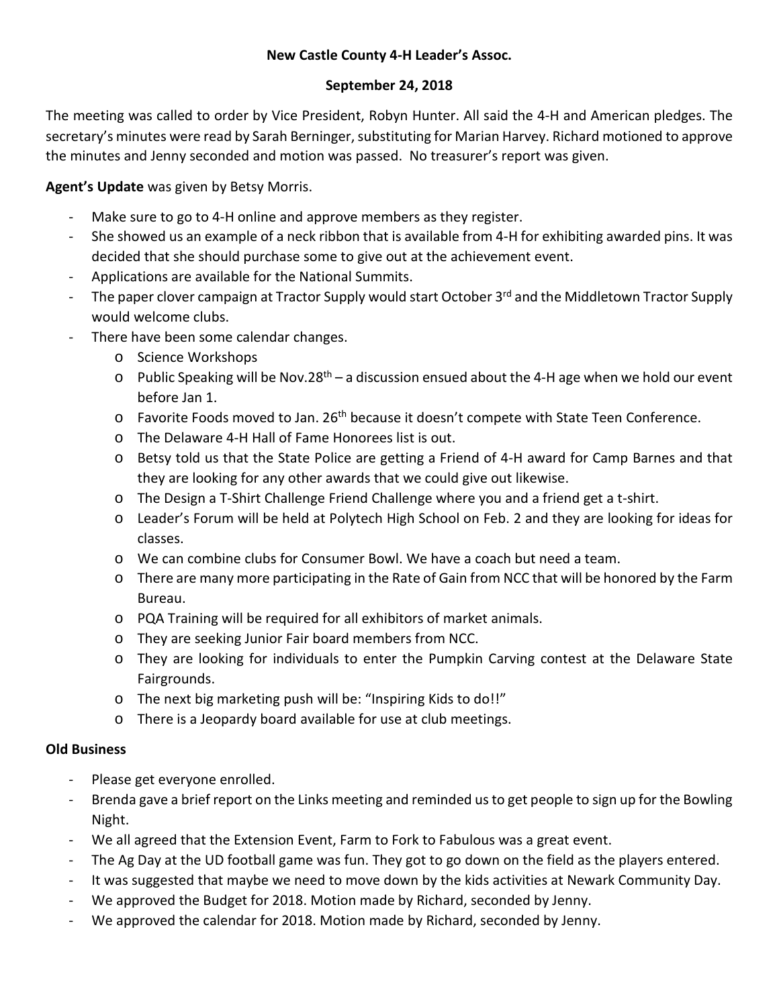# **New Castle County 4-H Leader's Assoc.**

### **September 24, 2018**

The meeting was called to order by Vice President, Robyn Hunter. All said the 4-H and American pledges. The secretary's minutes were read by Sarah Berninger, substituting for Marian Harvey. Richard motioned to approve the minutes and Jenny seconded and motion was passed. No treasurer's report was given.

**Agent's Update** was given by Betsy Morris.

- Make sure to go to 4-H online and approve members as they register.
- She showed us an example of a neck ribbon that is available from 4-H for exhibiting awarded pins. It was decided that she should purchase some to give out at the achievement event.
- Applications are available for the National Summits.
- The paper clover campaign at Tractor Supply would start October 3<sup>rd</sup> and the Middletown Tractor Supply would welcome clubs.
- There have been some calendar changes.
	- o Science Workshops
	- $\circ$  Public Speaking will be Nov.28<sup>th</sup> a discussion ensued about the 4-H age when we hold our event before Jan 1.
	- o Favorite Foods moved to Jan. 26<sup>th</sup> because it doesn't compete with State Teen Conference.
	- o The Delaware 4-H Hall of Fame Honorees list is out.
	- o Betsy told us that the State Police are getting a Friend of 4-H award for Camp Barnes and that they are looking for any other awards that we could give out likewise.
	- o The Design a T-Shirt Challenge Friend Challenge where you and a friend get a t-shirt.
	- o Leader's Forum will be held at Polytech High School on Feb. 2 and they are looking for ideas for classes.
	- o We can combine clubs for Consumer Bowl. We have a coach but need a team.
	- o There are many more participating in the Rate of Gain from NCC that will be honored by the Farm Bureau.
	- o PQA Training will be required for all exhibitors of market animals.
	- o They are seeking Junior Fair board members from NCC.
	- o They are looking for individuals to enter the Pumpkin Carving contest at the Delaware State Fairgrounds.
	- o The next big marketing push will be: "Inspiring Kids to do!!"
	- o There is a Jeopardy board available for use at club meetings.

### **Old Business**

- Please get everyone enrolled.
- Brenda gave a brief report on the Links meeting and reminded us to get people to sign up for the Bowling Night.
- We all agreed that the Extension Event, Farm to Fork to Fabulous was a great event.
- The Ag Day at the UD football game was fun. They got to go down on the field as the players entered.
- It was suggested that maybe we need to move down by the kids activities at Newark Community Day.
- We approved the Budget for 2018. Motion made by Richard, seconded by Jenny.
- We approved the calendar for 2018. Motion made by Richard, seconded by Jenny.